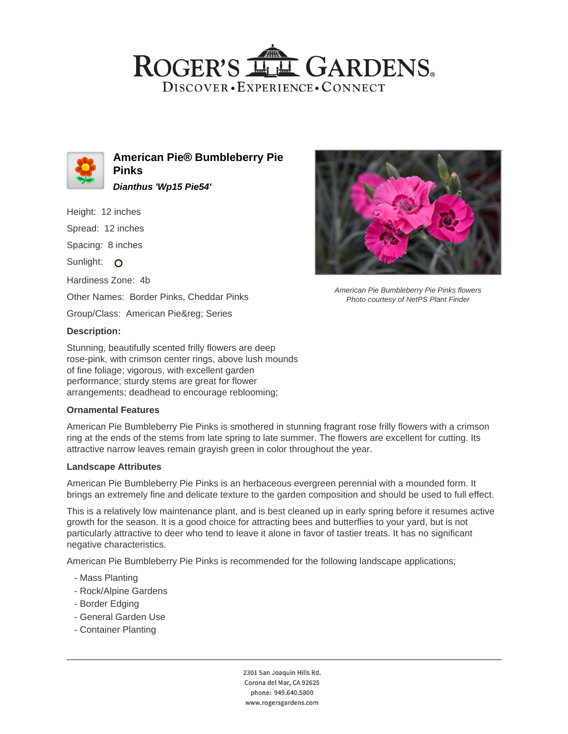# ROGER'S LL GARDENS. DISCOVER · EXPERIENCE · CONNECT



**American Pie® Bumbleberry Pie Pinks Dianthus 'Wp15 Pie54'**

Height: 12 inches

Spread: 12 inches

Spacing: 8 inches

Sunlight: O

Hardiness Zone: 4b

Other Names: Border Pinks, Cheddar Pinks

Group/Class: American Pie® Series

### **Description:**

Stunning, beautifully scented frilly flowers are deep rose-pink, with crimson center rings, above lush mounds of fine foliage; vigorous, with excellent garden performance; sturdy stems are great for flower arrangements; deadhead to encourage reblooming;

#### **Ornamental Features**

American Pie Bumbleberry Pie Pinks is smothered in stunning fragrant rose frilly flowers with a crimson ring at the ends of the stems from late spring to late summer. The flowers are excellent for cutting. Its attractive narrow leaves remain grayish green in color throughout the year.

#### **Landscape Attributes**

American Pie Bumbleberry Pie Pinks is an herbaceous evergreen perennial with a mounded form. It brings an extremely fine and delicate texture to the garden composition and should be used to full effect.

This is a relatively low maintenance plant, and is best cleaned up in early spring before it resumes active growth for the season. It is a good choice for attracting bees and butterflies to your yard, but is not particularly attractive to deer who tend to leave it alone in favor of tastier treats. It has no significant negative characteristics.

American Pie Bumbleberry Pie Pinks is recommended for the following landscape applications;

- Mass Planting
- Rock/Alpine Gardens
- Border Edging
- General Garden Use
- Container Planting



American Pie Bumbleberry Pie Pinks flowers Photo courtesy of NetPS Plant Finder

2301 San Joaquin Hills Rd. Corona del Mar, CA 92625 phone: 949.640.5800 www.rogersgardens.com